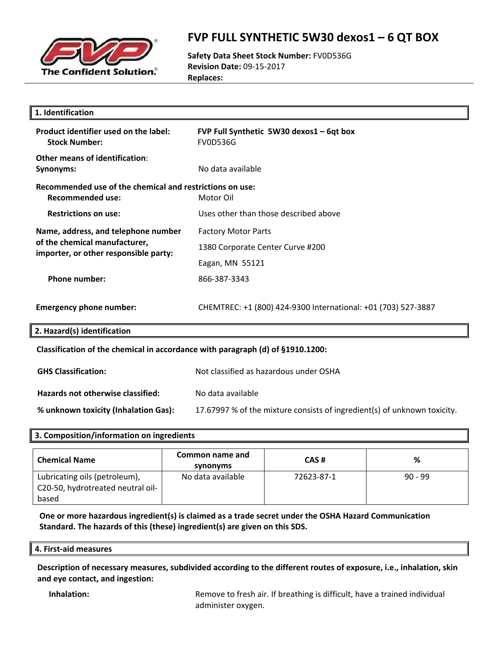

### **FVP FULL SYNTHETIC 5W30 dexos1 – 6 QT BOX**

**Safety Data Sheet Stock Number:** FV0D536G **Revision Date:** 09‐15‐2017 **Replaces:**

| 1. Identification                                                                   |                                                                          |
|-------------------------------------------------------------------------------------|--------------------------------------------------------------------------|
| Product identifier used on the label:<br><b>Stock Number:</b>                       | FVP Full Synthetic 5W30 dexos1 - 6qt box<br><b>FV0D536G</b>              |
| Other means of identification:<br>Synonyms:                                         | No data available                                                        |
| Recommended use of the chemical and restrictions on use:<br><b>Recommended use:</b> | Motor Oil                                                                |
| <b>Restrictions on use:</b>                                                         | Uses other than those described above                                    |
| Name, address, and telephone number                                                 | <b>Factory Motor Parts</b>                                               |
| of the chemical manufacturer,<br>importer, or other responsible party:              | 1380 Corporate Center Curve #200                                         |
|                                                                                     | Eagan, MN 55121                                                          |
| <b>Phone number:</b>                                                                | 866-387-3343                                                             |
| <b>Emergency phone number:</b>                                                      | CHEMTREC: +1 (800) 424-9300 International: +01 (703) 527-3887            |
| 2. Hazard(s) identification                                                         |                                                                          |
| Classification of the chemical in accordance with paragraph (d) of §1910.1200:      |                                                                          |
| <b>GHS Classification:</b>                                                          | Not classified as hazardous under OSHA                                   |
| Hazards not otherwise classified:                                                   | No data available                                                        |
| % unknown toxicity (Inhalation Gas):                                                | 17.67997 % of the mixture consists of ingredient(s) of unknown toxicity. |
|                                                                                     |                                                                          |

### **3. Composition/information on ingredients**

| <b>Chemical Name</b>              | Common name and<br>synonyms | CAS#       | %         |
|-----------------------------------|-----------------------------|------------|-----------|
| Lubricating oils (petroleum),     | No data available           | 72623-87-1 | $90 - 99$ |
| C20-50, hydrotreated neutral oil- |                             |            |           |
| based                             |                             |            |           |

**One or more hazardous ingredient(s) is claimed as a trade secret under the OSHA Hazard Communication Standard. The hazards of this (these) ingredient(s) are given on this SDS.**

#### **4. First‐aid measures**

**Description of necessary measures, subdivided according to the different routes of exposure, i.e., inhalation, skin and eye contact, and ingestion:**

**Inhalation: Remove to fresh air. If breathing is difficult, have a trained individual** administer oxygen.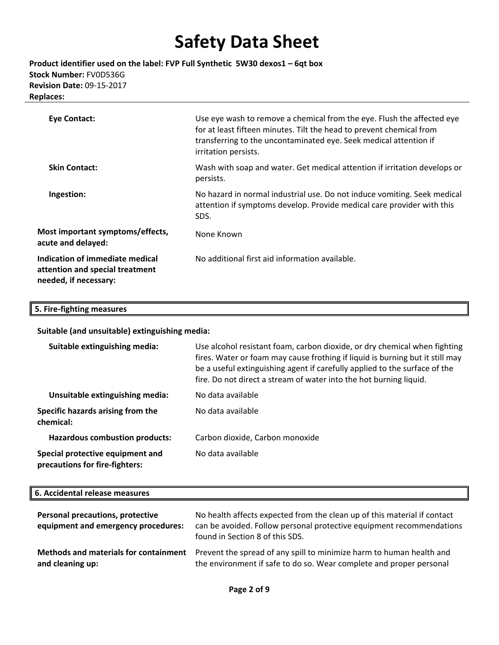**Product identifier used on the label: FVP Full Synthetic 5W30 dexos1 – 6qt box Stock Number:** FV0D536G **Revision Date:** 09‐15‐2017 **Replaces:**

| <b>Eye Contact:</b>                                                                         | Use eye wash to remove a chemical from the eye. Flush the affected eye<br>for at least fifteen minutes. Tilt the head to prevent chemical from<br>transferring to the uncontaminated eye. Seek medical attention if<br>irritation persists. |
|---------------------------------------------------------------------------------------------|---------------------------------------------------------------------------------------------------------------------------------------------------------------------------------------------------------------------------------------------|
| <b>Skin Contact:</b>                                                                        | Wash with soap and water. Get medical attention if irritation develops or<br>persists.                                                                                                                                                      |
| Ingestion:                                                                                  | No hazard in normal industrial use. Do not induce vomiting. Seek medical<br>attention if symptoms develop. Provide medical care provider with this<br>SDS.                                                                                  |
| Most important symptoms/effects,<br>acute and delayed:                                      | None Known                                                                                                                                                                                                                                  |
| Indication of immediate medical<br>attention and special treatment<br>needed, if necessary: | No additional first aid information available.                                                                                                                                                                                              |

#### **5. Fire‐fighting measures**

**Suitable (and unsuitable) extinguishing media:**

| Suitable extinguishing media:                                      | Use alcohol resistant foam, carbon dioxide, or dry chemical when fighting<br>fires. Water or foam may cause frothing if liquid is burning but it still may<br>be a useful extinguishing agent if carefully applied to the surface of the<br>fire. Do not direct a stream of water into the hot burning liquid. |
|--------------------------------------------------------------------|----------------------------------------------------------------------------------------------------------------------------------------------------------------------------------------------------------------------------------------------------------------------------------------------------------------|
| Unsuitable extinguishing media:                                    | No data available                                                                                                                                                                                                                                                                                              |
| Specific hazards arising from the<br>chemical:                     | No data available                                                                                                                                                                                                                                                                                              |
| <b>Hazardous combustion products:</b>                              | Carbon dioxide, Carbon monoxide                                                                                                                                                                                                                                                                                |
| Special protective equipment and<br>precautions for fire-fighters: | No data available                                                                                                                                                                                                                                                                                              |

#### **6. Accidental release measures**

| <b>Personal precautions, protective</b><br>equipment and emergency procedures: | No health affects expected from the clean up of this material if contact<br>can be avoided. Follow personal protective equipment recommendations<br>found in Section 8 of this SDS. |
|--------------------------------------------------------------------------------|-------------------------------------------------------------------------------------------------------------------------------------------------------------------------------------|
| Methods and materials for containment                                          | Prevent the spread of any spill to minimize harm to human health and                                                                                                                |
| and cleaning up:                                                               | the environment if safe to do so. Wear complete and proper personal                                                                                                                 |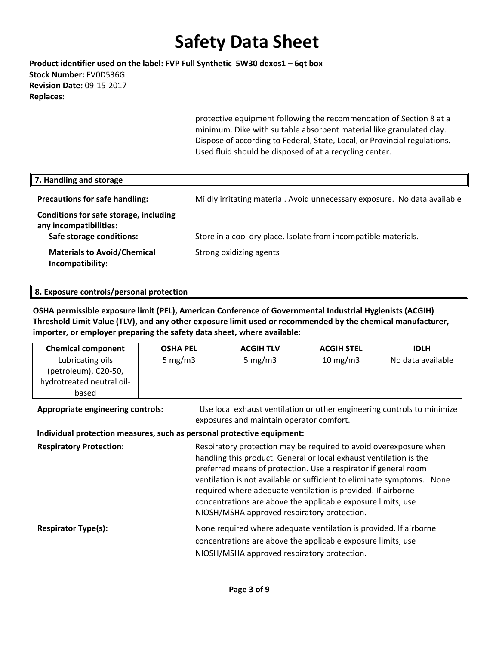**Product identifier used on the label: FVP Full Synthetic 5W30 dexos1 – 6qt box Stock Number:** FV0D536G **Revision Date:** 09‐15‐2017 **Replaces:**

> protective equipment following the recommendation of Section 8 at a minimum. Dike with suitable absorbent material like granulated clay. Dispose of according to Federal, State, Local, or Provincial regulations. Used fluid should be disposed of at a recycling center.

| 7. Handling and storage                                                                      |                                                                           |
|----------------------------------------------------------------------------------------------|---------------------------------------------------------------------------|
| <b>Precautions for safe handling:</b>                                                        | Mildly irritating material. Avoid unnecessary exposure. No data available |
| Conditions for safe storage, including<br>any incompatibilities:<br>Safe storage conditions: | Store in a cool dry place. Isolate from incompatible materials.           |
| <b>Materials to Avoid/Chemical</b><br>Incompatibility:                                       | Strong oxidizing agents                                                   |

#### **8. Exposure controls/personal protection**

**OSHA permissible exposure limit (PEL), American Conference of Governmental Industrial Hygienists (ACGIH) Threshold Limit Value (TLV), and any other exposure limit used or recommended by the chemical manufacturer, importer, or employer preparing the safety data sheet, where available:**

| <b>Chemical component</b> | <b>OSHA PEL</b> | <b>ACGIH TLV</b> | <b>ACGIH STEL</b> | <b>IDLH</b>       |
|---------------------------|-----------------|------------------|-------------------|-------------------|
| Lubricating oils          | 5 mg/m $3$      | 5 mg/m $3$       | $10 \text{ mg/m}$ | No data available |
| (petroleum), C20-50,      |                 |                  |                   |                   |
| hydrotreated neutral oil- |                 |                  |                   |                   |
| based                     |                 |                  |                   |                   |

**Appropriate engineering controls:** Use local exhaust ventilation or other engineering controls to minimize exposures and maintain operator comfort.

#### **Individual protection measures, such as personal protective equipment:**

**Respiratory Protection: Respiratory protection may be required to avoid overexposure when** handling this product. General or local exhaust ventilation is the preferred means of protection. Use a respirator if general room ventilation is not available or sufficient to eliminate symptoms. None required where adequate ventilation is provided. If airborne concentrations are above the applicable exposure limits, use NIOSH/MSHA approved respiratory protection. **Respirator Type(s):** None required where adequate ventilation is provided. If airborne concentrations are above the applicable exposure limits, use NIOSH/MSHA approved respiratory protection.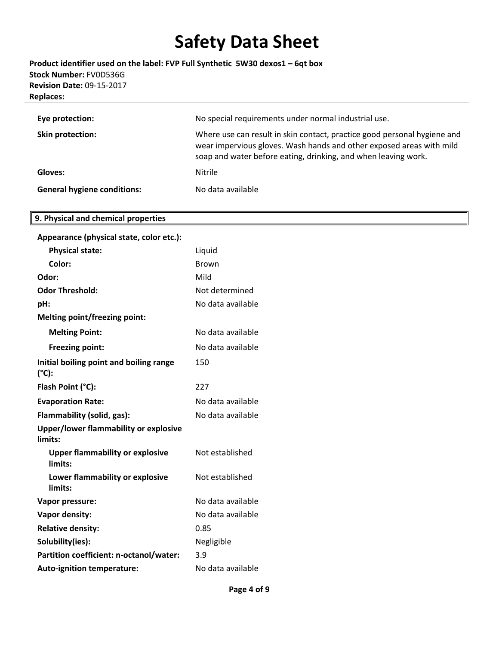**Product identifier used on the label: FVP Full Synthetic 5W30 dexos1 – 6qt box Stock Number:** FV0D536G **Revision Date:** 09‐15‐2017 **Replaces:**

| Eye protection:                    | No special requirements under normal industrial use.                                                                                                                                                               |
|------------------------------------|--------------------------------------------------------------------------------------------------------------------------------------------------------------------------------------------------------------------|
| <b>Skin protection:</b>            | Where use can result in skin contact, practice good personal hygiene and<br>wear impervious gloves. Wash hands and other exposed areas with mild<br>soap and water before eating, drinking, and when leaving work. |
| Gloves:                            | <b>Nitrile</b>                                                                                                                                                                                                     |
| <b>General hygiene conditions:</b> | No data available                                                                                                                                                                                                  |

### **9. Physical and chemical properties**

| Appearance (physical state, color etc.):          |                   |
|---------------------------------------------------|-------------------|
| <b>Physical state:</b>                            | Liquid            |
| Color:                                            | <b>Brown</b>      |
| Odor:                                             | Mild              |
| <b>Odor Threshold:</b>                            | Not determined    |
| pH:                                               | No data available |
| <b>Melting point/freezing point:</b>              |                   |
| <b>Melting Point:</b>                             | No data available |
| <b>Freezing point:</b>                            | No data available |
| Initial boiling point and boiling range<br>(°C):  | 150               |
| Flash Point (°C):                                 | 227               |
| <b>Evaporation Rate:</b>                          | No data available |
| Flammability (solid, gas):                        | No data available |
| Upper/lower flammability or explosive<br>limits:  |                   |
| <b>Upper flammability or explosive</b><br>limits: | Not established   |
| Lower flammability or explosive<br>limits:        | Not established   |
| Vapor pressure:                                   | No data available |
| Vapor density:                                    | No data available |
| <b>Relative density:</b>                          | 0.85              |
| Solubility(ies):                                  | Negligible        |
| Partition coefficient: n-octanol/water:           | 3.9               |
| <b>Auto-ignition temperature:</b>                 | No data available |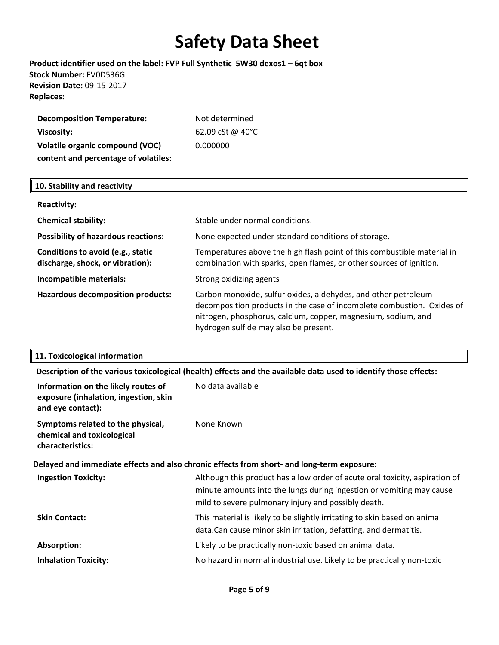### **Product identifier used on the label: FVP Full Synthetic 5W30 dexos1 – 6qt box Stock Number:** FV0D536G **Revision Date:** 09‐15‐2017 **Replaces:**

| <b>Decomposition Temperature:</b>      | Not determined   |
|----------------------------------------|------------------|
| Viscosity:                             | 62.09 cSt @ 40°C |
| <b>Volatile organic compound (VOC)</b> | 0.000000         |
| content and percentage of volatiles:   |                  |

#### **10. Stability and reactivity**

| <b>Reactivity:</b>                                                    |                                                                                                                                                                                                                                                    |
|-----------------------------------------------------------------------|----------------------------------------------------------------------------------------------------------------------------------------------------------------------------------------------------------------------------------------------------|
| <b>Chemical stability:</b>                                            | Stable under normal conditions.                                                                                                                                                                                                                    |
| <b>Possibility of hazardous reactions:</b>                            | None expected under standard conditions of storage.                                                                                                                                                                                                |
| Conditions to avoid (e.g., static<br>discharge, shock, or vibration): | Temperatures above the high flash point of this combustible material in<br>combination with sparks, open flames, or other sources of ignition.                                                                                                     |
| Incompatible materials:                                               | Strong oxidizing agents                                                                                                                                                                                                                            |
| <b>Hazardous decomposition products:</b>                              | Carbon monoxide, sulfur oxides, aldehydes, and other petroleum<br>decomposition products in the case of incomplete combustion. Oxides of<br>nitrogen, phosphorus, calcium, copper, magnesium, sodium, and<br>hydrogen sulfide may also be present. |

#### **11. Toxicological information**

**Description of the various toxicological (health) effects and the available data used to identify those effects:**

| Information on the likely routes of<br>exposure (inhalation, ingestion, skin<br>and eye contact): | No data available                                                                                                                                                                                          |  |
|---------------------------------------------------------------------------------------------------|------------------------------------------------------------------------------------------------------------------------------------------------------------------------------------------------------------|--|
| Symptoms related to the physical,<br>chemical and toxicological<br>characteristics:               | None Known                                                                                                                                                                                                 |  |
| Delayed and immediate effects and also chronic effects from short- and long-term exposure:        |                                                                                                                                                                                                            |  |
| <b>Ingestion Toxicity:</b>                                                                        | Although this product has a low order of acute oral toxicity, aspiration of<br>minute amounts into the lungs during ingestion or vomiting may cause<br>mild to severe pulmonary injury and possibly death. |  |
| <b>Skin Contact:</b>                                                                              | This material is likely to be slightly irritating to skin based on animal<br>data. Can cause minor skin irritation, defatting, and dermatitis.                                                             |  |
| Absorption:                                                                                       | Likely to be practically non-toxic based on animal data.                                                                                                                                                   |  |
| <b>Inhalation Toxicity:</b>                                                                       | No hazard in normal industrial use. Likely to be practically non-toxic                                                                                                                                     |  |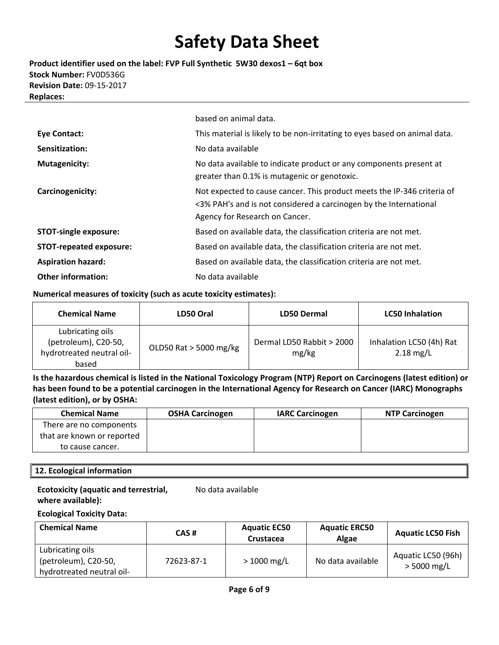**Product identifier used on the label: FVP Full Synthetic 5W30 dexos1 – 6qt box Stock Number:** FV0D536G **Revision Date:** 09‐15‐2017 **Replaces:**

|                                | based on animal data.                                                                                                                                                          |
|--------------------------------|--------------------------------------------------------------------------------------------------------------------------------------------------------------------------------|
| <b>Eye Contact:</b>            | This material is likely to be non-irritating to eyes based on animal data.                                                                                                     |
| Sensitization:                 | No data available                                                                                                                                                              |
| <b>Mutagenicity:</b>           | No data available to indicate product or any components present at<br>greater than 0.1% is mutagenic or genotoxic.                                                             |
| Carcinogenicity:               | Not expected to cause cancer. This product meets the IP-346 criteria of<br><3% PAH's and is not considered a carcinogen by the International<br>Agency for Research on Cancer. |
| <b>STOT-single exposure:</b>   | Based on available data, the classification criteria are not met.                                                                                                              |
| <b>STOT-repeated exposure:</b> | Based on available data, the classification criteria are not met.                                                                                                              |
| <b>Aspiration hazard:</b>      | Based on available data, the classification criteria are not met.                                                                                                              |
| <b>Other information:</b>      | No data available                                                                                                                                                              |

#### **Numerical measures of toxicity (such as acute toxicity estimates):**

| <b>Chemical Name</b>                                                           | LD50 Oral              | <b>LD50 Dermal</b>                 | <b>LC50 Inhalation</b>                  |
|--------------------------------------------------------------------------------|------------------------|------------------------------------|-----------------------------------------|
| Lubricating oils<br>(petroleum), C20-50,<br>hydrotreated neutral oil-<br>based | OLD50 Rat > 5000 mg/kg | Dermal LD50 Rabbit > 2000<br>mg/kg | Inhalation LC50 (4h) Rat<br>$2.18$ mg/L |

Is the hazardous chemical is listed in the National Toxicology Program (NTP) Report on Carcinogens (latest edition) or has been found to be a potential carcinogen in the International Agency for Research on Cancer (IARC) Monographs **(latest edition), or by OSHA:**

| <b>Chemical Name</b>       | <b>OSHA Carcinogen</b> | <b>IARC Carcinogen</b> | <b>NTP Carcinogen</b> |
|----------------------------|------------------------|------------------------|-----------------------|
| There are no components    |                        |                        |                       |
| that are known or reported |                        |                        |                       |
| to cause cancer.           |                        |                        |                       |

#### **12. Ecological information**

#### **Ecotoxicity (aquatic and terrestrial, where available):**

No data available

#### **Ecological Toxicity Data:**

| <b>Chemical Name</b>                                                  | CAS#       | <b>Aquatic EC50</b><br><b>Crustacea</b> | <b>Aquatic ERC50</b><br><b>Algae</b> | <b>Aquatic LC50 Fish</b>            |
|-----------------------------------------------------------------------|------------|-----------------------------------------|--------------------------------------|-------------------------------------|
| Lubricating oils<br>(petroleum), C20-50,<br>hydrotreated neutral oil- | 72623-87-1 | $> 1000$ mg/L                           | No data available                    | Aquatic LC50 (96h)<br>$>$ 5000 mg/L |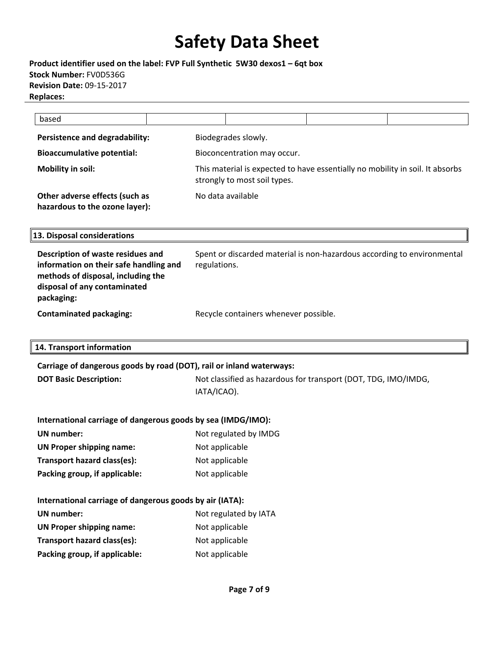**Product identifier used on the label: FVP Full Synthetic 5W30 dexos1 – 6qt box Stock Number:** FV0D536G **Revision Date:** 09‐15‐2017 **Replaces:**

| based                                                            |                              |                                                                               |  |
|------------------------------------------------------------------|------------------------------|-------------------------------------------------------------------------------|--|
| Persistence and degradability:                                   | Biodegrades slowly.          |                                                                               |  |
| <b>Bioaccumulative potential:</b>                                | Bioconcentration may occur.  |                                                                               |  |
| Mobility in soil:                                                | strongly to most soil types. | This material is expected to have essentially no mobility in soil. It absorbs |  |
| Other adverse effects (such as<br>hazardous to the ozone layer): | No data available            |                                                                               |  |

**13. Disposal considerations**

| Description of waste residues and<br>information on their safe handling and<br>methods of disposal, including the<br>disposal of any contaminated<br>packaging: | Spent or discarded material is non-hazardous according to environmental<br>regulations. |
|-----------------------------------------------------------------------------------------------------------------------------------------------------------------|-----------------------------------------------------------------------------------------|
| <b>Contaminated packaging:</b>                                                                                                                                  | Recycle containers whenever possible.                                                   |

**14. Transport information**

**Carriage of dangerous goods by road (DOT), rail or inland waterways:**

**DOT Basic Description:** Not classified as hazardous for transport (DOT, TDG, IMO/IMDG, IATA/ICAO).

| International carriage of dangerous goods by sea (IMDG/IMO): |  |  |
|--------------------------------------------------------------|--|--|
|--------------------------------------------------------------|--|--|

| UN number:                      | Not regulated by IMDG |
|---------------------------------|-----------------------|
| <b>UN Proper shipping name:</b> | Not applicable        |
| Transport hazard class(es):     | Not applicable        |
| Packing group, if applicable:   | Not applicable        |

| International carriage of dangerous goods by air (IATA): |                       |  |  |
|----------------------------------------------------------|-----------------------|--|--|
| UN number:                                               | Not regulated by IATA |  |  |
| <b>UN Proper shipping name:</b>                          | Not applicable        |  |  |
| Transport hazard class(es):                              | Not applicable        |  |  |
| Packing group, if applicable:                            | Not applicable        |  |  |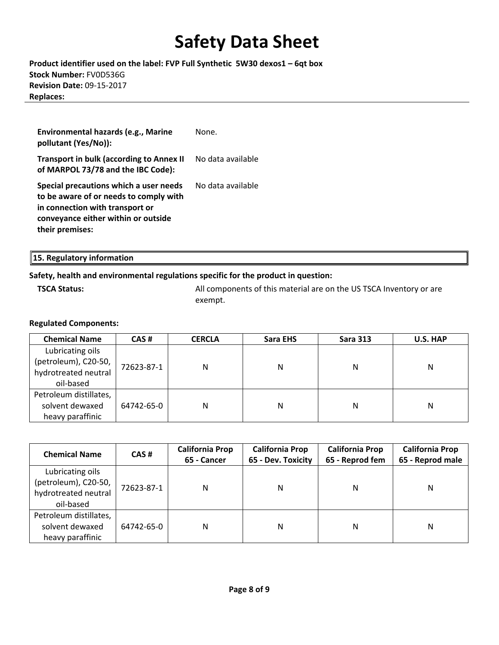**Product identifier used on the label: FVP Full Synthetic 5W30 dexos1 – 6qt box Stock Number:** FV0D536G **Revision Date:** 09‐15‐2017 **Replaces:**

| Environmental hazards (e.g., Marine<br>pollutant (Yes/No)):                                                                                                                   | None.             |
|-------------------------------------------------------------------------------------------------------------------------------------------------------------------------------|-------------------|
| <b>Transport in bulk (according to Annex II</b><br>of MARPOL 73/78 and the IBC Code):                                                                                         | No data available |
| Special precautions which a user needs<br>to be aware of or needs to comply with<br>in connection with transport or<br>conveyance either within or outside<br>their premises: | No data available |

| 15. Regulatory information |  |  |  |
|----------------------------|--|--|--|
|----------------------------|--|--|--|

### **Safety, health and environmental regulations specific for the product in question:**

**TSCA Status: All components of this material are on the US TSCA Inventory or are** exempt.

### **Regulated Components:**

| <b>Chemical Name</b>                                                          | CAS#       | <b>CERCLA</b> | Sara EHS | <b>Sara 313</b> | U.S. HAP |
|-------------------------------------------------------------------------------|------------|---------------|----------|-----------------|----------|
| Lubricating oils<br>(petroleum), C20-50,<br>hydrotreated neutral<br>oil-based | 72623-87-1 | N             | Ν        | Ν               | Ν        |
| Petroleum distillates,<br>solvent dewaxed<br>heavy paraffinic                 | 64742-65-0 | N             | Ν        | N               | Ν        |

| <b>Chemical Name</b>                                                          | CAS#       | <b>California Prop</b><br>65 - Cancer | <b>California Prop</b><br>65 - Dev. Toxicity |   | <b>California Prop</b><br><b>California Prop</b><br>65 - Reprod male<br>65 - Reprod fem |  |
|-------------------------------------------------------------------------------|------------|---------------------------------------|----------------------------------------------|---|-----------------------------------------------------------------------------------------|--|
| Lubricating oils<br>(petroleum), C20-50,<br>hydrotreated neutral<br>oil-based | 72623-87-1 | N                                     | N                                            | Ν | Ν                                                                                       |  |
| Petroleum distillates,<br>solvent dewaxed<br>heavy paraffinic                 | 64742-65-0 | N                                     | N                                            | Ν | Ν                                                                                       |  |